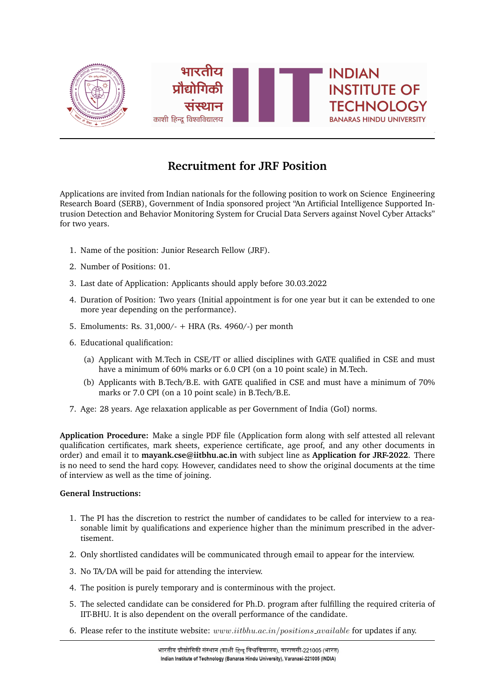

## **Recruitment for JRF Position**

Applications are invited from Indian nationals for the following position to work on Science Engineering trusion Detection and Behavior Monitoring System for Crucial Data Servers against Novel Cyber Attacks"<br>for two years. Research Board (SERB), Government of India sponsored project "An Artificial Intelligence Supported Infor two years.

- 1. Name of the position: Junior Research Fellow (JRF).
	- 2. Number of Positions: 01.
- 3. Last date of Application: Applicants should apply before 30.03.2022
- 4. Duration of Position: Two years (Initial appointment is for one year but it can be extended to one more year depending on the performance). more year depending on the performance).
	- 5. Emoluments: Rs. 31,000/- + HRA (Rs. 4960/-) per month
- 6. Educational qualification:
- (a) Applicant with M.Tech in CSE/IT or allied disciplines with GATE qualified in CSE and must have a minimum of 60% marks or 6.0 CPI (on a 10 point scale) in M.Tech.
- (b) Applicants with B. Tech/B.E. with GATE quanned in CSE and must have a minimum of  $70\%$  marks or 7.0 CPI (on a 10 point scale) in B. Tech/B.E. (b) Applicants with B.Tech/B.E. with GATE qualified in CSE and must have a minimum of 70%
- 7. Age: 28 years. Age relaxation applicable as per Government of India (GoI) norms.

qualincation certincates, mark sneets, experience certincate, age proor, and any other documents in<br>order) and email it to **mayank.cse@iitbhu.ac.in** with subject line as **Application for JRF-2022**. There of interview as well as the time of joining. **Application Procedure:** Make a single PDF file (Application form along with self attested all relevant qualification certificates, mark sheets, experience certificate, age proof, and any other documents in is no need to send the hard copy. However, candidates need to show the original documents at the time

## deneral Instructions: **General Instructions:**

- 1. The PI has the discretion to restrict the number of candidates to be called for interview to a reasonable limit by qualifications and experience higher than the minimum prescribed in the adver-<br>tisement. tisement.
- 2. Only onothered dimensions with be communicated through emain to appear for the interview. 2. Only shortlisted candidates will be communicated through email to appear for the interview.
	- 3. No TA/DA will be paid for attending the interview.
- 4. The position is purely temporary and is conterminous with the project.
- IIT-BHU. It is also dependent on the overall performance of the candidate. 5. The selected candidate can be considered for Ph.D. program after fulfilling the required criteria of
	- 6. Please refer to the institute website:  $www.iithu.ac.in/positions_available$  for updates if any.